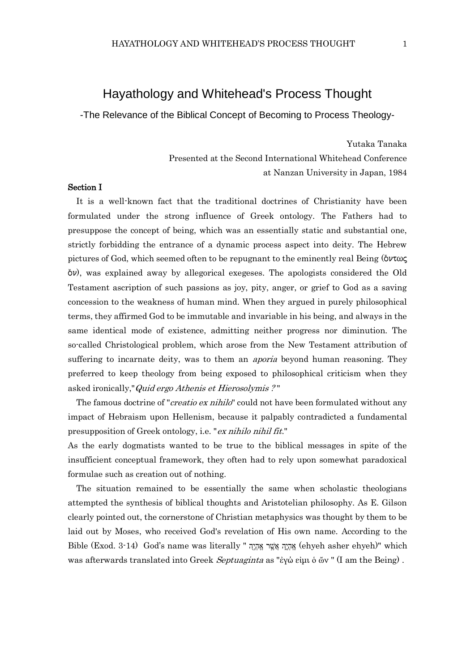## Hayathology and Whitehead's Process Thought

-The Relevance of the Biblical Concept of Becoming to Process Theology-

Yutaka Tanaka Presented at the Second International Whitehead Conference at Nanzan University in Japan, 1984

## Section I

It is a well-known fact that the traditional doctrines of Christianity have been formulated under the strong influence of Greek ontology. The Fathers had to presuppose the concept of being, which was an essentially static and substantial one, strictly forbidding the entrance of a dynamic process aspect into deity. The Hebrew pictures of God, which seemed often to be repugnant to the eminently real Being ( $\delta \nu \tau \omega \zeta$  $\delta \nu$ , was explained away by allegorical exegeses. The apologists considered the Old Testament ascription of such passions as joy, pity, anger, or grief to God as a saving concession to the weakness of human mind. When they argued in purely philosophical terms, they affirmed God to be immutable and invariable in his being, and always in the same identical mode of existence, admitting neither progress nor diminution. The so-called Christological problem, which arose from the New Testament attribution of suffering to incarnate deity, was to them an *aporia* beyond human reasoning. They preferred to keep theology from being exposed to philosophical criticism when they asked ironically,"Quid ergo Athenis et Hierosolymis ? "

The famous doctrine of "*creatio ex nihilo*" could not have been formulated without any impact of Hebraism upon Hellenism, because it palpably contradicted a fundamental presupposition of Greek ontology, i.e. "ex nihilo nihil fit."

As the early dogmatists wanted to be true to the biblical messages in spite of the insufficient conceptual framework, they often had to rely upon somewhat paradoxical formulae such as creation out of nothing.

The situation remained to be essentially the same when scholastic theologians attempted the synthesis of biblical thoughts and Aristotelian philosophy. As E. Gilson clearly pointed out, the cornerstone of Christian metaphysics was thought by them to be laid out by Moses, who received God's revelation of His own name. According to the Bible (Exod. 3-14) God's name was literally " א הֶֽאְ הֶֽ א ֲֶֽ הֶׁ֣ א הֶֽאְ הֶֽ) ehyeh asher ehyeh)" which was afterwards translated into Greek Septuaginta as "ἐγώ εἰμι ὁ ὤν" (I am the Being).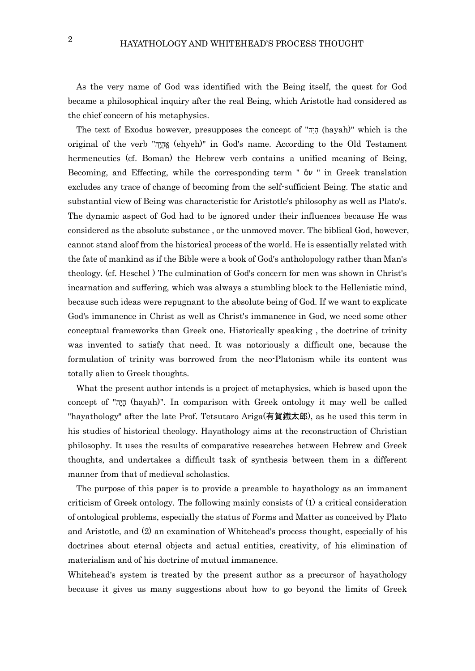As the very name of God was identified with the Being itself, the quest for God became a philosophical inquiry after the real Being, which Aristotle had considered as the chief concern of his metaphysics.

The text of Exodus however, presupposes the concept of "הָיָה (hayah)" which is the original of the verb "אֶהֵיֶה" (ehyeh)" in God's name. According to the Old Testament hermeneutics (cf. Boman) the Hebrew verb contains a unified meaning of Being, Becoming, and Effecting, while the corresponding term "  $\delta v$  " in Greek translation excludes any trace of change of becoming from the self-sufficient Being. The static and substantial view of Being was characteristic for Aristotle's philosophy as well as Plato's. The dynamic aspect of God had to be ignored under their influences because He was considered as the absolute substance , or the unmoved mover. The biblical God, however, cannot stand aloof from the historical process of the world. He is essentially related with the fate of mankind as if the Bible were a book of God's antholopology rather than Man's theology. (cf. Heschel ) The culmination of God's concern for men was shown in Christ's incarnation and suffering, which was always a stumbling block to the Hellenistic mind, because such ideas were repugnant to the absolute being of God. If we want to explicate God's immanence in Christ as well as Christ's immanence in God, we need some other conceptual frameworks than Greek one. Historically speaking , the doctrine of trinity was invented to satisfy that need. It was notoriously a difficult one, because the formulation of trinity was borrowed from the neo-Platonism while its content was totally alien to Greek thoughts.

What the present author intends is a project of metaphysics, which is based upon the concept of "הָיָה" (hayah)". In comparison with Greek ontology it may well be called "hayathology" after the late Prof. Tetsutaro Ariga(有賀鐵太郎), as he used this term in his studies of historical theology. Hayathology aims at the reconstruction of Christian philosophy. It uses the results of comparative researches between Hebrew and Greek thoughts, and undertakes a difficult task of synthesis between them in a different manner from that of medieval scholastics.

The purpose of this paper is to provide a preamble to hayathology as an immanent criticism of Greek ontology. The following mainly consists of (1) a critical consideration of ontological problems, especially the status of Forms and Matter as conceived by Plato and Aristotle, and (2) an examination of Whitehead's process thought, especially of his doctrines about eternal objects and actual entities, creativity, of his elimination of materialism and of his doctrine of mutual immanence.

Whitehead's system is treated by the present author as a precursor of hayathology because it gives us many suggestions about how to go beyond the limits of Greek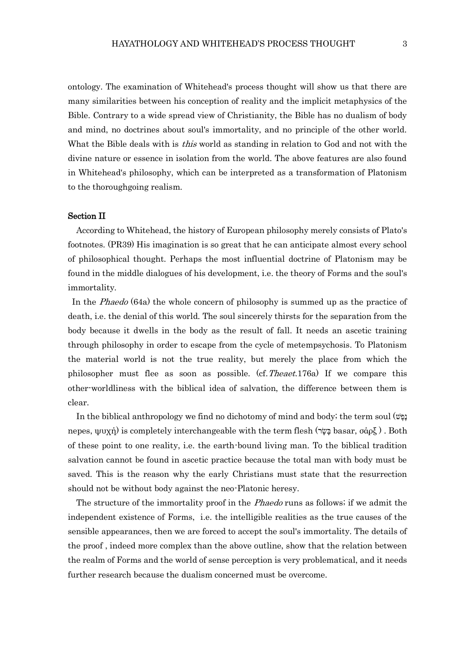ontology. The examination of Whitehead's process thought will show us that there are many similarities between his conception of reality and the implicit metaphysics of the Bible. Contrary to a wide spread view of Christianity, the Bible has no dualism of body and mind, no doctrines about soul's immortality, and no principle of the other world. What the Bible deals with is *this* world as standing in relation to God and not with the divine nature or essence in isolation from the world. The above features are also found in Whitehead's philosophy, which can be interpreted as a transformation of Platonism to the thoroughgoing realism.

#### Section II

According to Whitehead, the history of European philosophy merely consists of Plato's footnotes. (PR39) His imagination is so great that he can anticipate almost every school of philosophical thought. Perhaps the most influential doctrine of Platonism may be found in the middle dialogues of his development, i.e. the theory of Forms and the soul's immortality.

In the Phaedo (64a) the whole concern of philosophy is summed up as the practice of death, i.e. the denial of this world. The soul sincerely thirsts for the separation from the body because it dwells in the body as the result of fall. It needs an ascetic training through philosophy in order to escape from the cycle of metempsychosis. To Platonism the material world is not the true reality, but merely the place from which the philosopher must flee as soon as possible. (cf.Theaet.176a) If we compare this other-worldliness with the biblical idea of salvation, the difference between them is clear.

In the biblical anthropology we find no dichotomy of mind and body; the term soul  $(\psi)$ nepes, ψυχή) is completely interchangeable with the term flesh (א φερδ ). Both of these point to one reality, i.e. the earth-bound living man. To the biblical tradition salvation cannot be found in ascetic practice because the total man with body must be saved. This is the reason why the early Christians must state that the resurrection should not be without body against the neo-Platonic heresy.

The structure of the immortality proof in the *Phaedo* runs as follows; if we admit the independent existence of Forms, i.e. the intelligible realities as the true causes of the sensible appearances, then we are forced to accept the soul's immortality. The details of the proof , indeed more complex than the above outline, show that the relation between the realm of Forms and the world of sense perception is very problematical, and it needs further research because the dualism concerned must be overcome.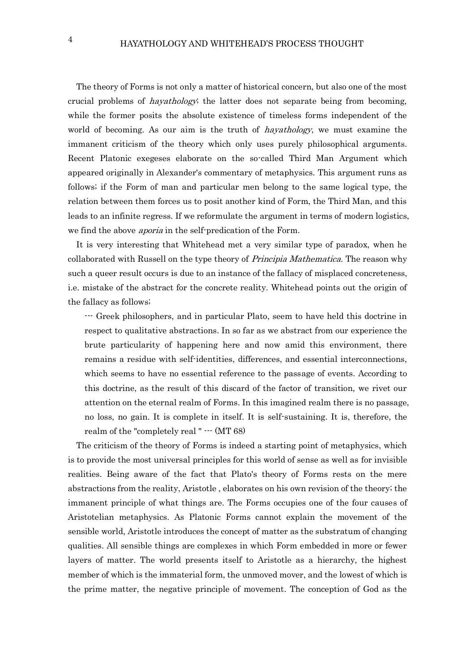The theory of Forms is not only a matter of historical concern, but also one of the most crucial problems of *hayathology*; the latter does not separate being from becoming, while the former posits the absolute existence of timeless forms independent of the world of becoming. As our aim is the truth of *hayathology*, we must examine the immanent criticism of the theory which only uses purely philosophical arguments. Recent Platonic exegeses elaborate on the so-called Third Man Argument which appeared originally in Alexander's commentary of metaphysics. This argument runs as follows; if the Form of man and particular men belong to the same logical type, the relation between them forces us to posit another kind of Form, the Third Man, and this leads to an infinite regress. If we reformulate the argument in terms of modern logistics, we find the above aporia in the self-predication of the Form.

It is very interesting that Whitehead met a very similar type of paradox, when he collaborated with Russell on the type theory of *Principia Mathematica*. The reason why such a queer result occurs is due to an instance of the fallacy of misplaced concreteness, i.e. mistake of the abstract for the concrete reality. Whitehead points out the origin of the fallacy as follows;

--- Greek philosophers, and in particular Plato, seem to have held this doctrine in respect to qualitative abstractions. In so far as we abstract from our experience the brute particularity of happening here and now amid this environment, there remains a residue with self-identities, differences, and essential interconnections, which seems to have no essential reference to the passage of events. According to this doctrine, as the result of this discard of the factor of transition, we rivet our attention on the eternal realm of Forms. In this imagined realm there is no passage, no loss, no gain. It is complete in itself. It is self-sustaining. It is, therefore, the realm of the "completely real " --- (MT 68)

The criticism of the theory of Forms is indeed a starting point of metaphysics, which is to provide the most universal principles for this world of sense as well as for invisible realities. Being aware of the fact that Plato's theory of Forms rests on the mere abstractions from the reality, Aristotle , elaborates on his own revision of the theory; the immanent principle of what things are. The Forms occupies one of the four causes of Aristotelian metaphysics. As Platonic Forms cannot explain the movement of the sensible world, Aristotle introduces the concept of matter as the substratum of changing qualities. All sensible things are complexes in which Form embedded in more or fewer layers of matter. The world presents itself to Aristotle as a hierarchy, the highest member of which is the immaterial form, the unmoved mover, and the lowest of which is the prime matter, the negative principle of movement. The conception of God as the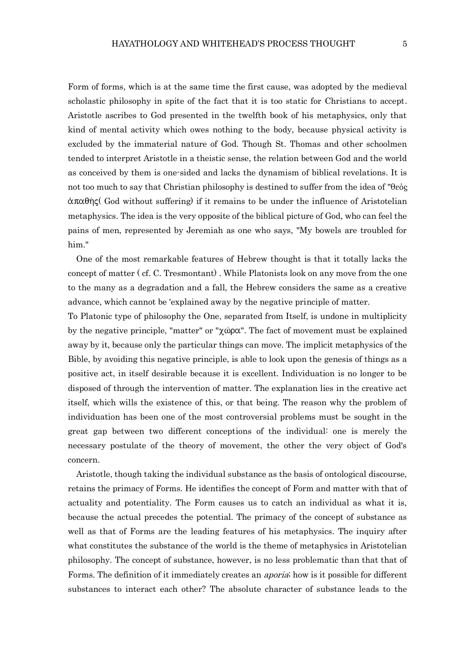Form of forms, which is at the same time the first cause, was adopted by the medieval scholastic philosophy in spite of the fact that it is too static for Christians to accept. Aristotle ascribes to God presented in the twelfth book of his metaphysics, only that kind of mental activity which owes nothing to the body, because physical activity is excluded by the immaterial nature of God. Though St. Thomas and other schoolmen tended to interpret Aristotle in a theistic sense, the relation between God and the world as conceived by them is one-sided and lacks the dynamism of biblical revelations. It is not too much to say that Christian philosophy is destined to suffer from the idea of "θεός  $\alpha \pi \alpha \theta$  (God without suffering) if it remains to be under the influence of Aristotelian metaphysics. The idea is the very opposite of the biblical picture of God, who can feel the pains of men, represented by Jeremiah as one who says, "My bowels are troubled for him."

One of the most remarkable features of Hebrew thought is that it totally lacks the concept of matter ( cf. C. Tresmontant) . While Platonists look on any move from the one to the many as a degradation and a fall, the Hebrew considers the same as a creative advance, which cannot be 'explained away by the negative principle of matter.

To Platonic type of philosophy the One, separated from Itself, is undone in multiplicity by the negative principle, "matter" or " $\chi \omega \rho \alpha$ ". The fact of movement must be explained away by it, because only the particular things can move. The implicit metaphysics of the Bible, by avoiding this negative principle, is able to look upon the genesis of things as a positive act, in itself desirable because it is excellent. Individuation is no longer to be disposed of through the intervention of matter. The explanation lies in the creative act itself, which wills the existence of this, or that being. The reason why the problem of individuation has been one of the most controversial problems must be sought in the great gap between two different conceptions of the individual: one is merely the necessary postulate of the theory of movement, the other the very object of God's concern.

Aristotle, though taking the individual substance as the basis of ontological discourse, retains the primacy of Forms. He identifies the concept of Form and matter with that of actuality and potentiality. The Form causes us to catch an individual as what it is, because the actual precedes the potential. The primacy of the concept of substance as well as that of Forms are the leading features of his metaphysics. The inquiry after what constitutes the substance of the world is the theme of metaphysics in Aristotelian philosophy. The concept of substance, however, is no less problematic than that that of Forms. The definition of it immediately creates an *aporia*; how is it possible for different substances to interact each other? The absolute character of substance leads to the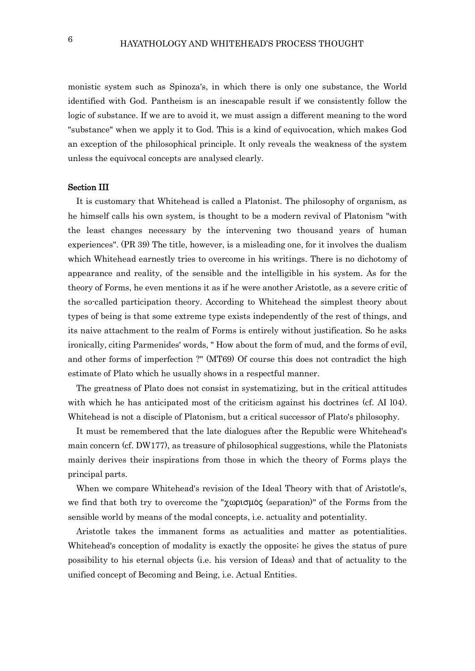monistic system such as Spinoza's, in which there is only one substance, the World identified with God. Pantheism is an inescapable result if we consistently follow the logic of substance. If we are to avoid it, we must assign a different meaning to the word "substance" when we apply it to God. This is a kind of equivocation, which makes God an exception of the philosophical principle. It only reveals the weakness of the system unless the equivocal concepts are analysed clearly.

## Section III

It is customary that Whitehead is called a Platonist. The philosophy of organism, as he himself calls his own system, is thought to be a modern revival of Platonism "with the least changes necessary by the intervening two thousand years of human experiences". (PR 39) The title, however, is a misleading one, for it involves the dualism which Whitehead earnestly tries to overcome in his writings. There is no dichotomy of appearance and reality, of the sensible and the intelligible in his system. As for the theory of Forms, he even mentions it as if he were another Aristotle, as a severe critic of the so-called participation theory. According to Whitehead the simplest theory about types of being is that some extreme type exists independently of the rest of things, and its naive attachment to the realm of Forms is entirely without justification. So he asks ironically, citing Parmenides' words, " How about the form of mud, and the forms of evil, and other forms of imperfection ?" (MT69) Of course this does not contradict the high estimate of Plato which he usually shows in a respectful manner.

The greatness of Plato does not consist in systematizing, but in the critical attitudes with which he has anticipated most of the criticism against his doctrines (cf. AI 104). Whitehead is not a disciple of Platonism, but a critical successor of Plato's philosophy.

It must be remembered that the late dialogues after the Republic were Whitehead's main concern (cf. DW177), as treasure of philosophical suggestions, while the Platonists mainly derives their inspirations from those in which the theory of Forms plays the principal parts.

When we compare Whitehead's revision of the Ideal Theory with that of Aristotle's, we find that both try to overcome the "χωρισμός (separation)" of the Forms from the sensible world by means of the modal concepts, i.e. actuality and potentiality.

Aristotle takes the immanent forms as actualities and matter as potentialities. Whitehead's conception of modality is exactly the opposite; he gives the status of pure possibility to his eternal objects (i.e. his version of Ideas) and that of actuality to the unified concept of Becoming and Being, i.e. Actual Entities.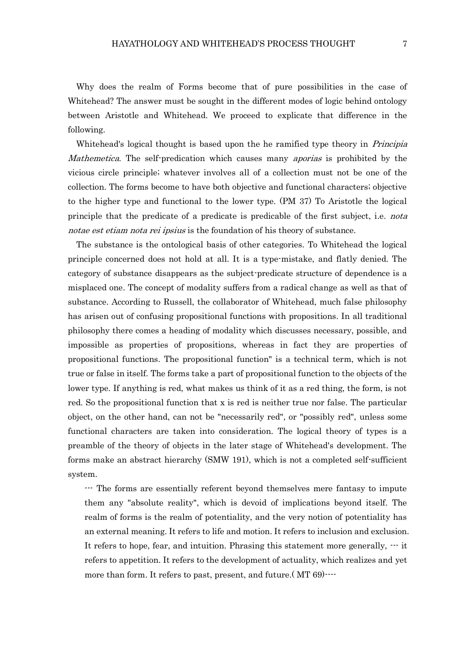Why does the realm of Forms become that of pure possibilities in the case of Whitehead? The answer must be sought in the different modes of logic behind ontology between Aristotle and Whitehead. We proceed to explicate that difference in the following.

Whitehead's logical thought is based upon the he ramified type theory in *Principia* Mathemetica. The self-predication which causes many *aporias* is prohibited by the vicious circle principle; whatever involves all of a collection must not be one of the collection. The forms become to have both objective and functional characters; objective to the higher type and functional to the lower type. (PM 37) To Aristotle the logical principle that the predicate of a predicate is predicable of the first subject, i.e. nota notae est etiam nota rei ipsius is the foundation of his theory of substance.

The substance is the ontological basis of other categories. To Whitehead the logical principle concerned does not hold at all. It is a type-mistake, and flatly denied. The category of substance disappears as the subject-predicate structure of dependence is a misplaced one. The concept of modality suffers from a radical change as well as that of substance. According to Russell, the collaborator of Whitehead, much false philosophy has arisen out of confusing propositional functions with propositions. In all traditional philosophy there comes a heading of modality which discusses necessary, possible, and impossible as properties of propositions, whereas in fact they are properties of propositional functions. The propositional function" is a technical term, which is not true or false in itself. The forms take a part of propositional function to the objects of the lower type. If anything is red, what makes us think of it as a red thing, the form, is not red. So the propositional function that x is red is neither true nor false. The particular object, on the other hand, can not be "necessarily red", or "possibly red", unless some functional characters are taken into consideration. The logical theory of types is a preamble of the theory of objects in the later stage of Whitehead's development. The forms make an abstract hierarchy (SMW 191), which is not a completed self-sufficient system.

--- The forms are essentially referent beyond themselves mere fantasy to impute them any "absolute reality", which is devoid of implications beyond itself. The realm of forms is the realm of potentiality, and the very notion of potentiality has an external meaning. It refers to life and motion. It refers to inclusion and exclusion. It refers to hope, fear, and intuition. Phrasing this statement more generally, --- it refers to appetition. It refers to the development of actuality, which realizes and yet more than form. It refers to past, present, and future. (MT 69) $\cdots$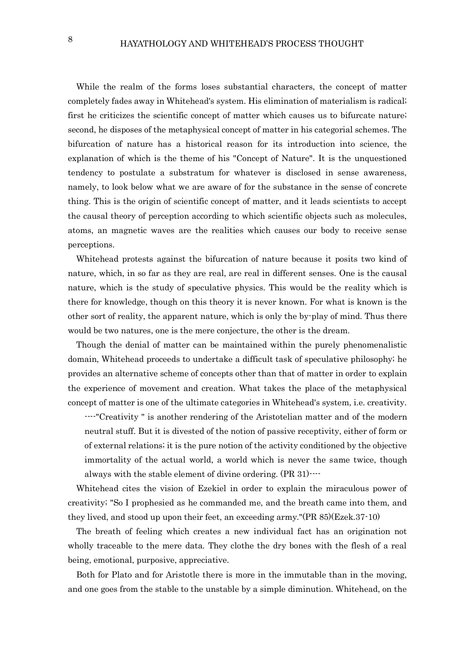While the realm of the forms loses substantial characters, the concept of matter completely fades away in Whitehead's system. His elimination of materialism is radical; first he criticizes the scientific concept of matter which causes us to bifurcate nature; second, he disposes of the metaphysical concept of matter in his categorial schemes. The bifurcation of nature has a historical reason for its introduction into science, the explanation of which is the theme of his "Concept of Nature". It is the unquestioned tendency to postulate a substratum for whatever is disclosed in sense awareness, namely, to look below what we are aware of for the substance in the sense of concrete thing. This is the origin of scientific concept of matter, and it leads scientists to accept the causal theory of perception according to which scientific objects such as molecules, atoms, an magnetic waves are the realities which causes our body to receive sense perceptions.

Whitehead protests against the bifurcation of nature because it posits two kind of nature, which, in so far as they are real, are real in different senses. One is the causal nature, which is the study of speculative physics. This would be the reality which is there for knowledge, though on this theory it is never known. For what is known is the other sort of reality, the apparent nature, which is only the by-play of mind. Thus there would be two natures, one is the mere conjecture, the other is the dream.

Though the denial of matter can be maintained within the purely phenomenalistic domain, Whitehead proceeds to undertake a difficult task of speculative philosophy; he provides an alternative scheme of concepts other than that of matter in order to explain the experience of movement and creation. What takes the place of the metaphysical concept of matter is one of the ultimate categories in Whitehead's system, i.e. creativity.

----"Creativity " is another rendering of the Aristotelian matter and of the modern neutral stuff. But it is divested of the notion of passive receptivity, either of form or of external relations; it is the pure notion of the activity conditioned by the objective immortality of the actual world, a world which is never the same twice, though always with the stable element of divine ordering. (PR 31)----

Whitehead cites the vision of Ezekiel in order to explain the miraculous power of creativity; "So I prophesied as he commanded me, and the breath came into them, and they lived, and stood up upon their feet, an exceeding army."(PR 85)(Ezek.37-10)

The breath of feeling which creates a new individual fact has an origination not wholly traceable to the mere data. They clothe the dry bones with the flesh of a real being, emotional, purposive, appreciative.

Both for Plato and for Aristotle there is more in the immutable than in the moving, and one goes from the stable to the unstable by a simple diminution. Whitehead, on the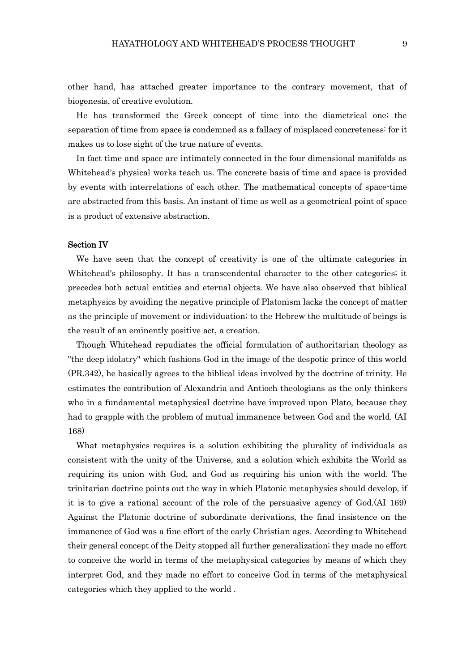other hand, has attached greater importance to the contrary movement, that of biogenesis, of creative evolution.

He has transformed the Greek concept of time into the diametrical one; the separation of time from space is condemned as a fallacy of misplaced concreteness: for it makes us to lose sight of the true nature of events.

In fact time and space are intimately connected in the four dimensional manifolds as Whitehead's physical works teach us. The concrete basis of time and space is provided by events with interrelations of each other. The mathematical concepts of space-time are abstracted from this basis. An instant of time as well as a geometrical point of space is a product of extensive abstraction.

### Section IV

We have seen that the concept of creativity is one of the ultimate categories in Whitehead's philosophy. It has a transcendental character to the other categories; it precedes both actual entities and eternal objects. We have also observed that biblical metaphysics by avoiding the negative principle of Platonism lacks the concept of matter as the principle of movement or individuation; to the Hebrew the multitude of beings is the result of an eminently positive act, a creation.

Though Whitehead repudiates the official formulation of authoritarian theology as "the deep idolatry" which fashions God in the image of the despotic prince of this world (PR.342), he basically agrees to the biblical ideas involved by the doctrine of trinity. He estimates the contribution of Alexandria and Antioch theologians as the only thinkers who in a fundamental metaphysical doctrine have improved upon Plato, because they had to grapple with the problem of mutual immanence between God and the world. (AI 168)

What metaphysics requires is a solution exhibiting the plurality of individuals as consistent with the unity of the Universe, and a solution which exhibits the World as requiring its union with God, and God as requiring his union with the world. The trinitarian doctrine points out the way in which Platonic metaphysics should develop, if it is to give a rational account of the role of the persuasive agency of God.(AI 169) Against the Platonic doctrine of subordinate derivations, the final insistence on the immanence of God was a fine effort of the early Christian ages. According to Whitehead their general concept of the Deity stopped all further generalization; they made no effort to conceive the world in terms of the metaphysical categories by means of which they interpret God, and they made no effort to conceive God in terms of the metaphysical categories which they applied to the world .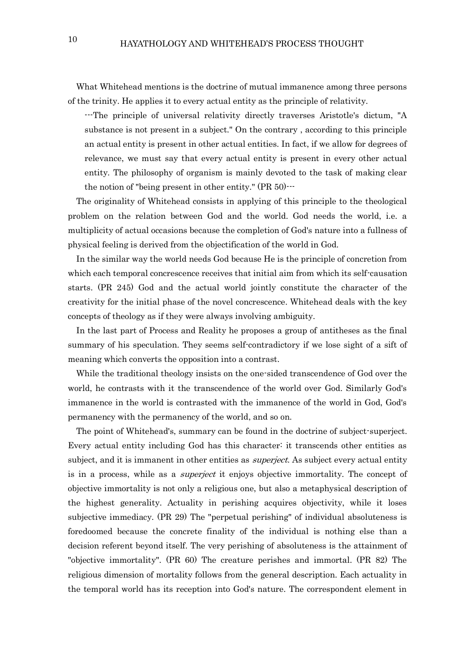What Whitehead mentions is the doctrine of mutual immanence among three persons of the trinity. He applies it to every actual entity as the principle of relativity.

---The principle of universal relativity directly traverses Aristotle's dictum, "A substance is not present in a subject." On the contrary , according to this principle an actual entity is present in other actual entities. In fact, if we allow for degrees of relevance, we must say that every actual entity is present in every other actual entity. The philosophy of organism is mainly devoted to the task of making clear the notion of "being present in other entity." (PR 50)---

The originality of Whitehead consists in applying of this principle to the theological problem on the relation between God and the world. God needs the world, i.e. a multiplicity of actual occasions because the completion of God's nature into a fullness of physical feeling is derived from the objectification of the world in God.

In the similar way the world needs God because He is the principle of concretion from which each temporal concrescence receives that initial aim from which its self-causation starts. (PR 245) God and the actual world jointly constitute the character of the creativity for the initial phase of the novel concrescence. Whitehead deals with the key concepts of theology as if they were always involving ambiguity.

In the last part of Process and Reality he proposes a group of antitheses as the final summary of his speculation. They seems self-contradictory if we lose sight of a sift of meaning which converts the opposition into a contrast.

While the traditional theology insists on the one-sided transcendence of God over the world, he contrasts with it the transcendence of the world over God. Similarly God's immanence in the world is contrasted with the immanence of the world in God, God's permanency with the permanency of the world, and so on.

The point of Whitehead's, summary can be found in the doctrine of subject-superject. Every actual entity including God has this character: it transcends other entities as subject, and it is immanent in other entities as *superject*. As subject every actual entity is in a process, while as a *superject* it enjoys objective immortality. The concept of objective immortality is not only a religious one, but also a metaphysical description of the highest generality. Actuality in perishing acquires objectivity, while it loses subjective immediacy. (PR 29) The "perpetual perishing" of individual absoluteness is foredoomed because the concrete finality of the individual is nothing else than a decision referent beyond itself. The very perishing of absoluteness is the attainment of "objective immortality". (PR 60) The creature perishes and immortal. (PR 82) The religious dimension of mortality follows from the general description. Each actuality in the temporal world has its reception into God's nature. The correspondent element in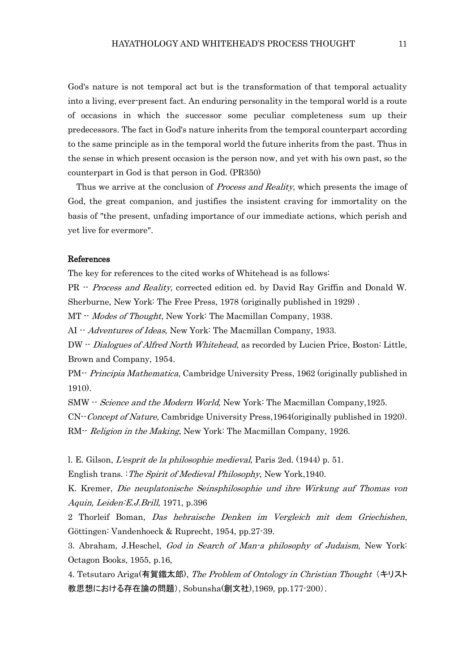God's nature is not temporal act but is the transformation of that temporal actuality into a living, ever-present fact. An enduring personality in the temporal world is a route of occasions in which the successor some peculiar completeness sum up their predecessors. The fact in God's nature inherits from the temporal counterpart according to the same principle as in the temporal world the future inherits from the past. Thus in the sense in which present occasion is the person now, and yet with his own past, so the counterpart in God is that person in God. (PR350)

Thus we arrive at the conclusion of *Process and Reality*, which presents the image of God, the great companion, and justifies the insistent craving for immortality on the basis of "the present, unfading importance of our immediate actions, which perish and yet live for evermore".

### References

The key for references to the cited works of Whitehead is as follows:

PR -- Process and Reality, corrected edition ed. by David Ray Griffin and Donald W. Sherburne, New York: The Free Press, 1978 (originally published in 1929) .

MT -- *Modes of Thought*, New York: The Macmillan Company, 1938.

AI -- *Adventures of Ideas*, New York: The Macmillan Company, 1933.

DW -- Dialogues of Alfred North Whitehead, as recorded by Lucien Price, Boston: Little, Brown and Company, 1954.

PM<sup>--</sup> Principia Mathematica, Cambridge University Press, 1962 (originally published in 1910).

SMW -- Science and the Modern World, New York: The Macmillan Company, 1925.

CN--Concept of Nature, Cambridge University Press,1964(originally published in 1920). RM-- Religion in the Making, New York: The Macmillan Company, 1926.

l. E. Gilson, L'esprit de la philosophie medieval, Paris 2ed. (1944) p. 51.

English trans. :The Spirit of Medieval Philosophy, New York,1940.

K. Kremer, Die neuplatonische Seinsphilosophie und ihre Wirkung auf Thomas von Aquin, Leiden:E.J.Brill, 1971, p.396

2 Thorleif Boman, Das hebraische Denken im Vergleich mit dem Griechishen, Göttingen: Vandenhoeck & Ruprecht, 1954, pp.27-39.

3. Abraham, J.Heschel, God in Search of Man-a philosophy of Judaism, New York: Octagon Books, 1955, p.16,

4. Tetsutaro Ariga(有賀鐵太郎), The Problem of Ontology in Christian Thought (キリスト 教思想における存在論の問題), Sobunsha(創文社),1969, pp.177-200).